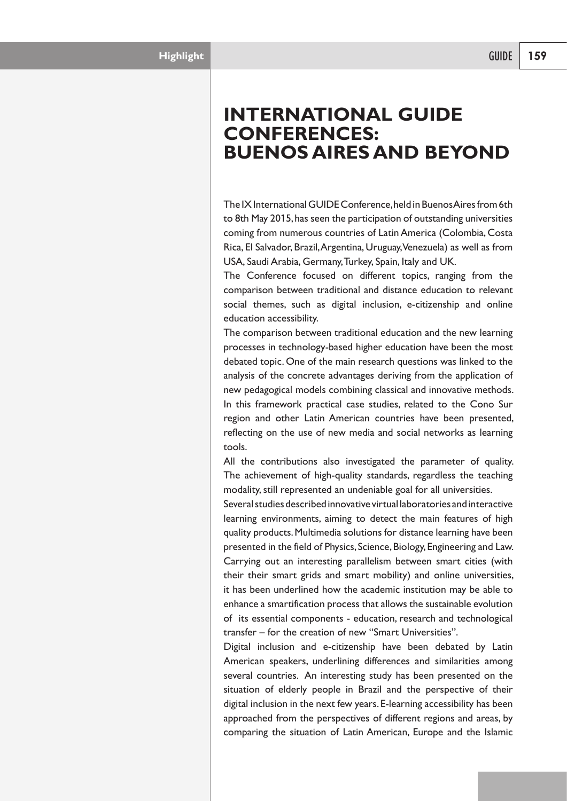## **INTERNATIONAL GUIDE CONFERENCES: BUENOS AIRES AND BEYOND**

The IX International GUIDE Conference, held in Buenos Aires from 6th to 8th May 2015, has seen the participation of outstanding universities coming from numerous countries of LatinAmerica (Colombia, Costa Rica, El Salvador, Brazil,Argentina, Uruguay,Venezuela) as well as from USA, Saudi Arabia, Germany,Turkey, Spain, Italy and UK.

The Conference focused on different topics, ranging from the comparison between traditional and distance education to relevant social themes, such as digital inclusion, e-citizenship and online education accessibility.

The comparison between traditional education and the new learning processes in technology-based higher education have been the most debated topic. One of the main research questions was linked to the analysis of the concrete advantages deriving from the application of new pedagogical models combining classical and innovative methods. In this framework practical case studies, related to the Cono Sur region and other Latin American countries have been presented, reflecting on the use of new media and social networks as learning tools.

All the contributions also investigated the parameter of quality. The achievement of high-quality standards, regardless the teaching modality, still represented an undeniable goal for all universities.

Several studies described innovative virtual laboratories and interactive learning environments, aiming to detect the main features of high quality products.Multimedia solutions for distance learning have been presented in the field of Physics, Science, Biology, Engineering and Law. Carrying out an interesting parallelism between smart cities (with their their smart grids and smart mobility) and online universities, it has been underlined how the academic institution may be able to enhance a smartification process that allows the sustainable evolution of its essential components - education, research and technological transfer – for the creation of new "Smart Universities".

Digital inclusion and e-citizenship have been debated by Latin American speakers, underlining differences and similarities among several countries. An interesting study has been presented on the situation of elderly people in Brazil and the perspective of their digital inclusion in the next few years. E-learning accessibility has been approached from the perspectives of different regions and areas, by comparing the situation of Latin American, Europe and the Islamic